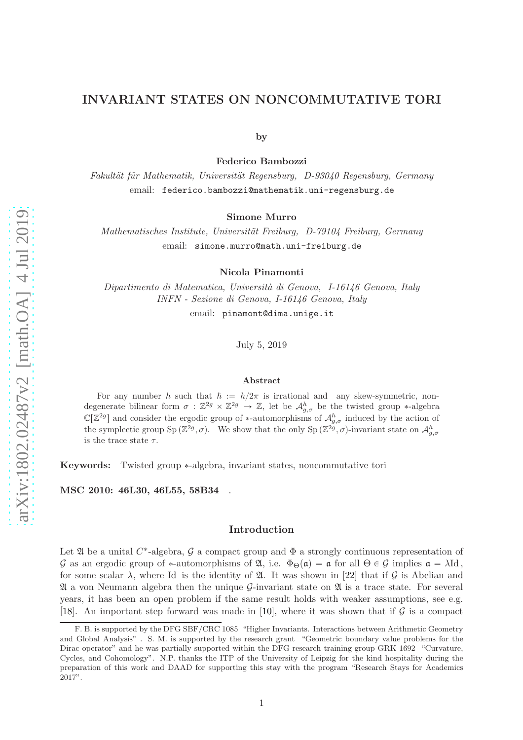# INVARIANT STATES ON [N](#page-0-0)ONCOMMUTATIVE TORI

by

Federico Bambozzi

Fakultät für Mathematik, Universität Regensburg, D-93040 Regensburg, Germany email: federico.bambozzi@mathematik.uni-regensburg.de

Simone Murro

Mathematisches Institute, Universität Freiburg, D-79104 Freiburg, Germany email: simone.murro@math.uni-freiburg.de

Nicola Pinamonti

Dipartimento di Matematica, Università di Genova, I-16146 Genova, Italy INFN - Sezione di Genova, I-16146 Genova, Italy

email: pinamont@dima.unige.it

July 5, 2019

#### Abstract

For any number h such that  $\hbar := h/2\pi$  is irrational and any skew-symmetric, nondegenerate bilinear form  $\sigma : \mathbb{Z}^{2g} \times \mathbb{Z}^{2g} \to \mathbb{Z}$ , let be  $\mathcal{A}_{g,\sigma}^h$  be the twisted group \*-algebra  $\mathbb{C}[\mathbb{Z}^{2g}]$  and consider the ergodic group of \*-automorphisms of  $\mathcal{A}_{g,\sigma}^{h}$  induced by the action of the symplectic group  $Sp(\mathbb{Z}^{2g}, \sigma)$ . We show that the only  $Sp(\mathbb{Z}^{2g}, \sigma)$ -invariant state on  $\mathcal{A}_{g,\sigma}^h$ is the trace state  $\tau$ .

Keywords: Twisted group ˚-algebra, invariant states, noncommutative tori

MSC 2010: 46L30, 46L55, 58B34 .

#### Introduction

Let  $\mathfrak A$  be a unital  $C^*$ -algebra,  $\mathcal G$  a compact group and  $\Phi$  a strongly continuous representation of G as an ergodic group of \*-automorphisms of  $\mathfrak{A}$ , i.e.  $\Phi_{\Theta}(\mathfrak{a}) = \mathfrak{a}$  for all  $\Theta \in \mathcal{G}$  implies  $\mathfrak{a} = \lambda \mathrm{Id}$ , for some scalar  $\lambda$ , where Id is the identity of  $\mathfrak{A}$ . It was shown in [\[22\]](#page-10-0) that if  $\mathcal G$  is Abelian and  $\mathfrak A$  a von Neumann algebra then the unique G-invariant state on  $\mathfrak A$  is a trace state. For several years, it has been an open problem if the same result holds with weaker assumptions, see e.g. [\[18\]](#page-10-1). An important step forward was made in [\[10\]](#page-10-2), where it was shown that if  $\mathcal G$  is a compact

<span id="page-0-0"></span>F. B. is supported by the DFG SBF/CRC 1085 "Higher Invariants. Interactions between Arithmetic Geometry and Global Analysis" . S. M. is supported by the research grant "Geometric boundary value problems for the Dirac operator" and he was partially supported within the DFG research training group GRK 1692 "Curvature, Cycles, and Cohomology". N.P. thanks the ITP of the University of Leipzig for the kind hospitality during the preparation of this work and DAAD for supporting this stay with the program "Research Stays for Academics 2017".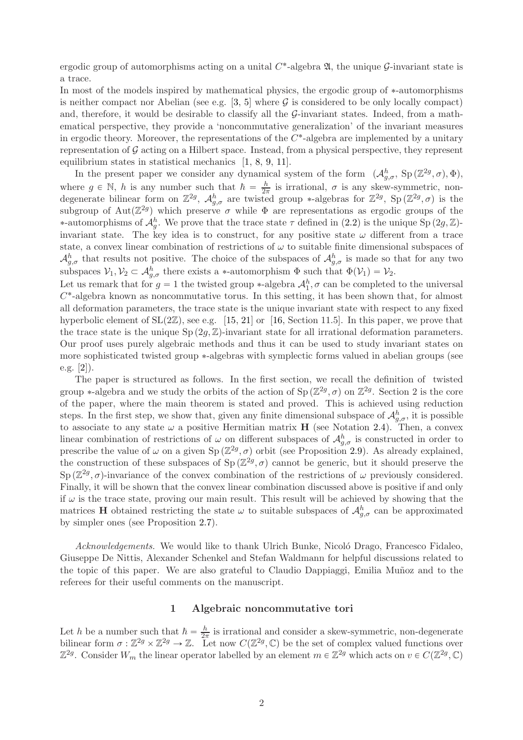ergodic group of automorphisms acting on a unital  $C^*$ -algebra  $\mathfrak{A}$ , the unique  $\mathcal{G}$ -invariant state is a trace.

In most of the models inspired by mathematical physics, the ergodic group of  $*$ -automorphisms is neither compact nor Abelian (see e.g. [\[3,](#page-9-0) [5\]](#page-9-1) where  $G$  is considered to be only locally compact) and, therefore, it would be desirable to classify all the  $\mathcal{G}\text{-invariant states}$ . Indeed, from a mathematical perspective, they provide a 'noncommutative generalization' of the invariant measures in ergodic theory. Moreover, the representations of the  $C^*$ -algebra are implemented by a unitary representation of G acting on a Hilbert space. Instead, from a physical perspective, they represent equilibrium states in statistical mechanics [\[1,](#page-9-2) [8,](#page-10-3) [9,](#page-10-4) [11\]](#page-10-5).

In the present paper we consider any dynamical system of the form  $(\mathcal{A}_{g,\sigma}^h, Sp(\mathbb{Z}^{2g},\sigma),\Phi)$ , where  $g \in \mathbb{N}$ , h is any number such that  $\hbar = \frac{h}{2\pi}$  is irrational,  $\sigma$  is any skew-symmetric, nondegenerate bilinear form on  $\mathbb{Z}^{2g}$ ,  $\mathcal{A}_{g,\sigma}^h$  are twisted group \*-algebras for  $\mathbb{Z}^{2g}$ ,  $Sp(\mathbb{Z}^{2g},\sigma)$  is the subgroup of Aut $(\mathbb{Z}^{2g})$  which preserve  $\sigma$  while  $\Phi$  are representations as ergodic groups of the \*-automorphisms of  $\mathcal{A}_{g}^{h}$ . We prove that the trace state  $\tau$  defined in  $(2.2)$  is the unique Sp  $(2g, \mathbb{Z})$ invariant state. The key idea is to construct, for any positive state  $\omega$  different from a trace state, a convex linear combination of restrictions of  $\omega$  to suitable finite dimensional subspaces of  $\mathcal{A}_{g,\sigma}^h$  that results not positive. The choice of the subspaces of  $\mathcal{A}_{g,\sigma}^h$  is made so that for any two subspaces  $V_1, V_2 \subset A_{g,\sigma}^h$  there exists a \*-automorphism  $\Phi$  such that  $\Phi(V_1) = V_2$ .

Let us remark that for  $g = 1$  the twisted group \*-algebra  $\mathcal{A}_1^h$ ,  $\sigma$  can be completed to the universal  $C^*$ -algebra known as noncommutative torus. In this setting, it has been shown that, for almost all deformation parameters, the trace state is the unique invariant state with respect to any fixed hyperbolic element of  $SL(2\mathbb{Z})$ , see e.g. [\[15,](#page-10-6) [21\]](#page-10-7) or [\[16,](#page-10-8) Section 11.5]. In this paper, we prove that the trace state is the unique  $Sp(2q,\mathbb{Z})$ -invariant state for all irrational deformation parameters. Our proof uses purely algebraic methods and thus it can be used to study invariant states on more sophisticated twisted group \*-algebras with symplectic forms valued in abelian groups (see e.g. [\[2\]](#page-9-3)).

The paper is structured as follows. In the first section, we recall the definition of twisted group \*-algebra and we study the orbits of the action of  $Sp(\mathbb{Z}^{2g},\sigma)$  on  $\mathbb{Z}^{2g}$ . Section 2 is the core of the paper, where the main theorem is stated and proved. This is achieved using reduction steps. In the first step, we show that, given any finite dimensional subspace of  $\mathcal{A}_{g,\sigma}^h$ , it is possible to associate to any state  $\omega$  a positive Hermitian matrix **H** (see Notation [2.4\)](#page-5-0). Then, a convex linear combination of restrictions of  $\omega$  on different subspaces of  $\mathcal{A}_{g,\sigma}^h$  is constructed in order to prescribe the value of  $\omega$  on a given Sp  $(\mathbb{Z}^{2g}, \sigma)$  orbit (see Proposition [2.9\)](#page-8-0). As already explained, the construction of these subspaces of  $Sp(\mathbb{Z}^{2g},\sigma)$  cannot be generic, but it should preserve the Sp  $(\mathbb{Z}^{2g}, \sigma)$ -invariance of the convex combination of the restrictions of  $\omega$  previously considered. Finally, it will be shown that the convex linear combination discussed above is positive if and only if  $\omega$  is the trace state, proving our main result. This result will be achieved by showing that the matrices **H** obtained restricting the state  $\omega$  to suitable subspaces of  $\mathcal{A}_{g,\sigma}^h$  can be approximated by simpler ones (see Proposition [2.7\)](#page-6-0).

Acknowledgements. We would like to thank Ulrich Bunke, Nicoló Drago, Francesco Fidaleo, Giuseppe De Nittis, Alexander Schenkel and Stefan Waldmann for helpful discussions related to the topic of this paper. We are also grateful to Claudio Dappiaggi, Emilia Muñoz and to the referees for their useful comments on the manuscript.

## 1 Algebraic noncommutative tori

Let h be a number such that  $\hbar = \frac{h}{2\pi}$  is irrational and consider a skew-symmetric, non-degenerate bilinear form  $\sigma : \mathbb{Z}^{2g} \times \mathbb{Z}^{2g} \to \mathbb{Z}$ . Let now  $C(\mathbb{Z}^{2g}, \mathbb{C})$  be the set of complex valued functions over  $\mathbb{Z}^{2g}$ . Consider  $W_m$  the linear operator labelled by an element  $m \in \mathbb{Z}^{2g}$  which acts on  $v \in C(\mathbb{Z}^{2g}, \mathbb{C})$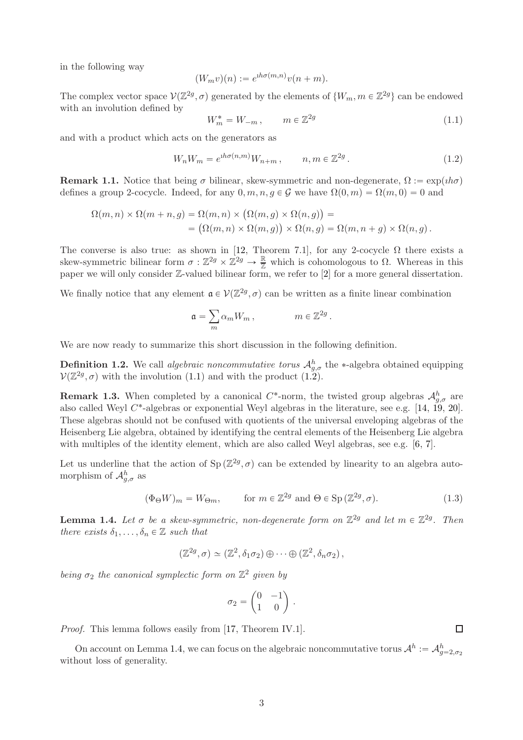in the following way

$$
(W_m v)(n) := e^{ih\sigma(m,n)}v(n+m).
$$

The complex vector space  $V(\mathbb{Z}^{2g}, \sigma)$  generated by the elements of  $\{W_m, m \in \mathbb{Z}^{2g}\}\)$  can be endowed with an involution defined by

<span id="page-2-0"></span>
$$
W_m^* = W_{-m}, \qquad m \in \mathbb{Z}^{2g} \tag{1.1}
$$

and with a product which acts on the generators as

<span id="page-2-1"></span>
$$
W_n W_m = e^{i h \sigma(n,m)} W_{n+m}, \qquad n, m \in \mathbb{Z}^{2g} \,. \tag{1.2}
$$

**Remark 1.1.** Notice that being  $\sigma$  bilinear, skew-symmetric and non-degenerate,  $\Omega := \exp(i\hbar\sigma)$ defines a group 2-cocycle. Indeed, for any  $0, m, n, q \in \mathcal{G}$  we have  $\Omega(0, m) = \Omega(m, 0) = 0$  and

$$
\Omega(m,n) \times \Omega(m+n,g) = \Omega(m,n) \times (\Omega(m,g) \times \Omega(n,g)) =
$$
  
= 
$$
(\Omega(m,n) \times \Omega(m,g)) \times \Omega(n,g) = \Omega(m,n+g) \times \Omega(n,g).
$$

The converse is also true: as shown in [\[12,](#page-10-9) Theorem 7.1], for any 2-cocycle  $\Omega$  there exists a skew-symmetric bilinear form  $\sigma : \mathbb{Z}^{2g} \times \mathbb{Z}^{2g} \to \frac{\mathbb{R}}{\mathbb{Z}}$  which is cohomologous to  $\Omega$ . Whereas in this paper we will only consider Z-valued bilinear form, we refer to [\[2\]](#page-9-3) for a more general dissertation.

We finally notice that any element  $\mathfrak{a} \in \mathcal{V}(\mathbb{Z}^{2g}, \sigma)$  can be written as a finite linear combination

$$
\mathfrak{a} = \sum_m \alpha_m W_m \,, \qquad \qquad m \in \mathbb{Z}^{2g} \,.
$$

We are now ready to summarize this short discussion in the following definition.

**Definition 1.2.** We call *algebraic noncommutative torus*  $\mathcal{A}_{g,\sigma}^h$  the \*-algebra obtained equipping  $V(\mathbb{Z}^{2g}, \sigma)$  with the involution [\(1.1\)](#page-2-0) and with the product [\(1.2\)](#page-2-1).

**Remark 1.3.** When completed by a canonical  $C^*$ -norm, the twisted group algebras  $\mathcal{A}_{g,\sigma}^h$  are also called Weyl  $C^*$ -algebras or exponential Weyl algebras in the literature, see e.g. [\[14,](#page-10-10) [19,](#page-10-11) [20\]](#page-10-12). These algebras should not be confused with quotients of the universal enveloping algebras of the Heisenberg Lie algebra, obtained by identifying the central elements of the Heisenberg Lie algebra with multiples of the identity element, which are also called Weyl algebras, see e.g. [\[6,](#page-9-4) [7\]](#page-9-5).

Let us underline that the action of  $Sp(\mathbb{Z}^{2g},\sigma)$  can be extended by linearity to an algebra automorphism of  $\mathcal{A}_{g,\sigma}^{h}$  as

$$
(\Phi_{\Theta} W)_m = W_{\Theta m}, \qquad \text{for } m \in \mathbb{Z}^{2g} \text{ and } \Theta \in \text{Sp}(\mathbb{Z}^{2g}, \sigma). \tag{1.3}
$$

<span id="page-2-2"></span>**Lemma 1.4.** Let  $\sigma$  be a skew-symmetric, non-degenerate form on  $\mathbb{Z}^{2g}$  and let  $m \in \mathbb{Z}^{2g}$ . Then there exists  $\delta_1, \ldots, \delta_n \in \mathbb{Z}$  such that

$$
(\mathbb{Z}^{2g}, \sigma) \simeq (\mathbb{Z}^2, \delta_1 \sigma_2) \oplus \cdots \oplus (\mathbb{Z}^2, \delta_n \sigma_2),
$$

being  $\sigma_2$  the canonical symplectic form on  $\mathbb{Z}^2$  given by

$$
\sigma_2 = \begin{pmatrix} 0 & -1 \\ 1 & 0 \end{pmatrix}.
$$

Proof. This lemma follows easily from [\[17,](#page-10-13) Theorem IV.1].

On account on Lemma [1.4,](#page-2-2) we can focus on the algebraic noncommutative torus  $\mathcal{A}^h := \mathcal{A}_{g=2,\sigma_2}^h$ without loss of generality.

 $\Box$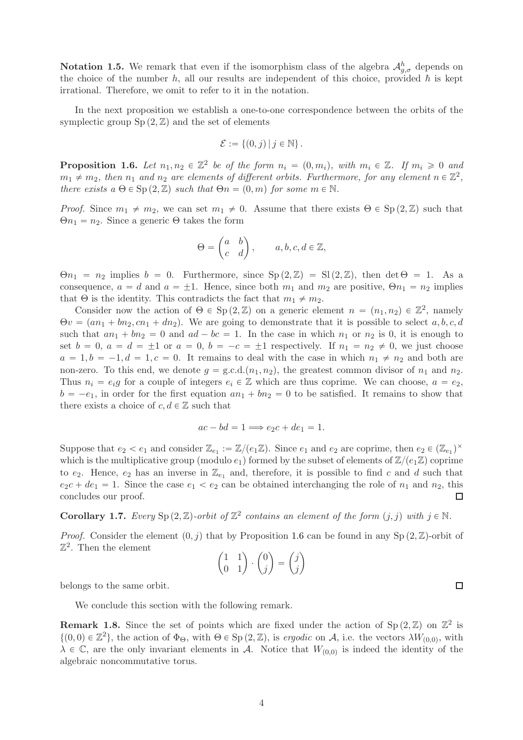**Notation 1.5.** We remark that even if the isomorphism class of the algebra  $\mathcal{A}_{g,\sigma}^h$  depends on the choice of the number h, all our results are independent of this choice, provided  $\hbar$  is kept irrational. Therefore, we omit to refer to it in the notation.

In the next proposition we establish a one-to-one correspondence between the orbits of the symplectic group  $Sp(2,\mathbb{Z})$  and the set of elements

$$
\mathcal{E} := \{(0,j) | j \in \mathbb{N}\}.
$$

<span id="page-3-0"></span>**Proposition 1.6.** Let  $n_1, n_2 \in \mathbb{Z}^2$  be of the form  $n_i = (0, m_i)$ , with  $m_i \in \mathbb{Z}$ . If  $m_i \geq 0$  and  $m_1 \neq m_2$ , then  $n_1$  and  $n_2$  are elements of different orbits. Furthermore, for any element  $n \in \mathbb{Z}^2$ , there exists  $a \Theta \in \text{Sp}(2,\mathbb{Z})$  such that  $\Theta n = (0, m)$  for some  $m \in \mathbb{N}$ .

*Proof.* Since  $m_1 \neq m_2$ , we can set  $m_1 \neq 0$ . Assume that there exists  $\Theta \in Sp(2,\mathbb{Z})$  such that  $\Theta n_1 = n_2$ . Since a generic  $\Theta$  takes the form

$$
\Theta = \begin{pmatrix} a & b \\ c & d \end{pmatrix}, \qquad a, b, c, d \in \mathbb{Z},
$$

 $\Theta n_1 = n_2$  implies  $b = 0$ . Furthermore, since  $Sp(2, \mathbb{Z}) = Sl(2, \mathbb{Z})$ , then det  $\Theta = 1$ . As a consequence,  $a = d$  and  $a = \pm 1$ . Hence, since both  $m_1$  and  $m_2$  are positive,  $\Theta n_1 = n_2$  implies that  $\Theta$  is the identity. This contradicts the fact that  $m_1 \neq m_2$ .

Consider now the action of  $\Theta \in \mathrm{Sp}(2,\mathbb{Z})$  on a generic element  $n = (n_1, n_2) \in \mathbb{Z}^2$ , namely  $\Theta v = (a n_1 + b n_2, c n_1 + d n_2)$ . We are going to demonstrate that it is possible to select a, b, c, d such that  $a n_1 + b n_2 = 0$  and  $a d - b c = 1$ . In the case in which  $n_1$  or  $n_2$  is 0, it is enough to set  $b = 0$ ,  $a = d = \pm 1$  or  $a = 0$ ,  $b = -c = \pm 1$  respectively. If  $n_1 = n_2 \neq 0$ , we just choose  $a = 1, b = -1, d = 1, c = 0$ . It remains to deal with the case in which  $n_1 \neq n_2$  and both are non-zero. To this end, we denote  $g = \text{g.c.d.}(n_1, n_2)$ , the greatest common divisor of  $n_1$  and  $n_2$ . Thus  $n_i = e_i q$  for a couple of integers  $e_i \in \mathbb{Z}$  which are thus coprime. We can choose,  $a = e_2$ ,  $b = -e_1$ , in order for the first equation  $an_1 + bn_2 = 0$  to be satisfied. It remains to show that there exists a choice of  $c, d \in \mathbb{Z}$  such that

$$
ac - bd = 1 \Longrightarrow e_2c + de_1 = 1.
$$

Suppose that  $e_2 < e_1$  and consider  $\mathbb{Z}_{e_1} := \mathbb{Z}/(e_1\mathbb{Z})$ . Since  $e_1$  and  $e_2$  are coprime, then  $e_2 \in (\mathbb{Z}_{e_1})^{\times}$ which is the multiplicative group (modulo  $e_1$ ) formed by the subset of elements of  $\mathbb{Z}/(e_1\mathbb{Z})$  coprime to  $e_2$ . Hence,  $e_2$  has an inverse in  $\mathbb{Z}_{e_1}$  and, therefore, it is possible to find c and d such that  $e_2c + de_1 = 1$ . Since the case  $e_1 < e_2$  can be obtained interchanging the role of  $n_1$  and  $n_2$ , this concludes our proof.  $\Box$ 

<span id="page-3-1"></span>**Corollary 1.7.** Every  $\text{Sp}(2,\mathbb{Z})$ -orbit of  $\mathbb{Z}^2$  contains an element of the form  $(j, j)$  with  $j \in \mathbb{N}$ .

*Proof.* Consider the element  $(0, j)$  that by Proposition [1.6](#page-3-0) can be found in any Sp  $(2, \mathbb{Z})$ -orbit of  $\mathbb{Z}^2$ . Then the element

$$
\begin{pmatrix} 1 & 1 \\ 0 & 1 \end{pmatrix} \cdot \begin{pmatrix} 0 \\ j \end{pmatrix} = \begin{pmatrix} j \\ j \end{pmatrix}
$$

belongs to the same orbit.

We conclude this section with the following remark.

**Remark 1.8.** Since the set of points which are fixed under the action of  $Sp(2,\mathbb{Z})$  on  $\mathbb{Z}^2$  is  $\{(0,0) \in \mathbb{Z}^2\}$ , the action of  $\Phi_{\Theta}$ , with  $\Theta \in \text{Sp}(2,\mathbb{Z})$ , is ergodic on A, i.e. the vectors  $\lambda W_{(0,0)}$ , with  $\lambda \in \mathbb{C}$ , are the only invariant elements in A. Notice that  $W_{(0,0)}$  is indeed the identity of the algebraic noncommutative torus.

4

 $\Box$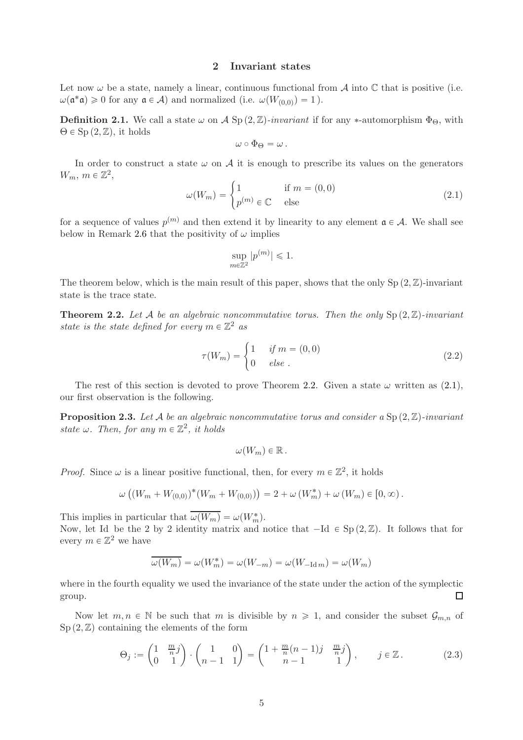## 2 Invariant states

Let now  $\omega$  be a state, namely a linear, continuous functional from  $\mathcal A$  into  $\mathbb C$  that is positive (i.e.  $\omega(\mathfrak{a}^*\mathfrak{a}) \geq 0$  for any  $\mathfrak{a} \in \mathcal{A}$ ) and normalized (i.e.  $\omega(W_{(0,0)}) = 1$ ).

**Definition 2.1.** We call a state  $\omega$  on A Sp  $(2, \mathbb{Z})$ -invariant if for any \*-automorphism  $\Phi_{\Theta}$ , with  $\Theta \in \mathrm{Sp} (2,\mathbb{Z}),$  it holds

$$
\omega\circ\Phi_{\Theta}=\omega\,.
$$

In order to construct a state  $\omega$  on A it is enough to prescribe its values on the generators  $W_m$ ,  $m \in \mathbb{Z}^2$ ,

<span id="page-4-2"></span>
$$
\omega(W_m) = \begin{cases} 1 & \text{if } m = (0,0) \\ p^{(m)} \in \mathbb{C} & \text{else} \end{cases}
$$
 (2.1)

for a sequence of values  $p^{(m)}$  and then extend it by linearity to any element  $a \in A$ . We shall see below in Remark [2.6](#page-6-1) that the positivity of  $\omega$  implies

$$
\sup_{m\in\mathbb{Z}^2} |p^{(m)}| \leqslant 1.
$$

The theorem below, which is the main result of this paper, shows that the only Sp  $(2, \mathbb{Z})$ -invariant state is the trace state.

<span id="page-4-1"></span>**Theorem 2.2.** Let A be an algebraic noncommutative torus. Then the only  $Sp(2,\mathbb{Z})$ -invariant state is the state defined for every  $m \in \mathbb{Z}^2$  as

<span id="page-4-0"></span>
$$
\tau(W_m) = \begin{cases} 1 & \text{if } m = (0,0) \\ 0 & \text{else } \end{cases} \tag{2.2}
$$

The rest of this section is devoted to prove Theorem [2.2.](#page-4-1) Given a state  $\omega$  written as  $(2.1)$ , our first observation is the following.

<span id="page-4-3"></span>**Proposition 2.3.** Let A be an algebraic noncommutative torus and consider a  $Sp(2,\mathbb{Z})$ -invariant state  $\omega$ . Then, for any  $m \in \mathbb{Z}^2$ , it holds

$$
\omega(W_m)\in\mathbb{R}.
$$

*Proof.* Since  $\omega$  is a linear positive functional, then, for every  $m \in \mathbb{Z}^2$ , it holds

$$
\omega ((W_m + W_{(0,0)})^* (W_m + W_{(0,0)})) = 2 + \omega (W_m^*) + \omega (W_m) \in [0,\infty).
$$

This implies in particular that  $\overline{\omega(W_m)} = \omega(W_m^*)$ .

Now, let Id be the 2 by 2 identity matrix and notice that  $-Id \in Sp(2,\mathbb{Z})$ . It follows that for every  $m \in \mathbb{Z}^2$  we have

$$
\overline{\omega(W_m)} = \omega(W_m^*) = \omega(W_{-m}) = \omega(W_{-\text{Id}m}) = \omega(W_m)
$$

where in the fourth equality we used the invariance of the state under the action of the symplectic group.  $\Box$ 

Now let  $m, n \in \mathbb{N}$  be such that m is divisible by  $n \geq 1$ , and consider the subset  $\mathcal{G}_{m,n}$  of  $Sp(2,\mathbb{Z})$  containing the elements of the form

<span id="page-4-4"></span>
$$
\Theta_j := \begin{pmatrix} 1 & \frac{m}{n}j \\ 0 & 1 \end{pmatrix} \cdot \begin{pmatrix} 1 & 0 \\ n-1 & 1 \end{pmatrix} = \begin{pmatrix} 1 + \frac{m}{n}(n-1)j & \frac{m}{n}j \\ n-1 & 1 \end{pmatrix}, \qquad j \in \mathbb{Z} \,. \tag{2.3}
$$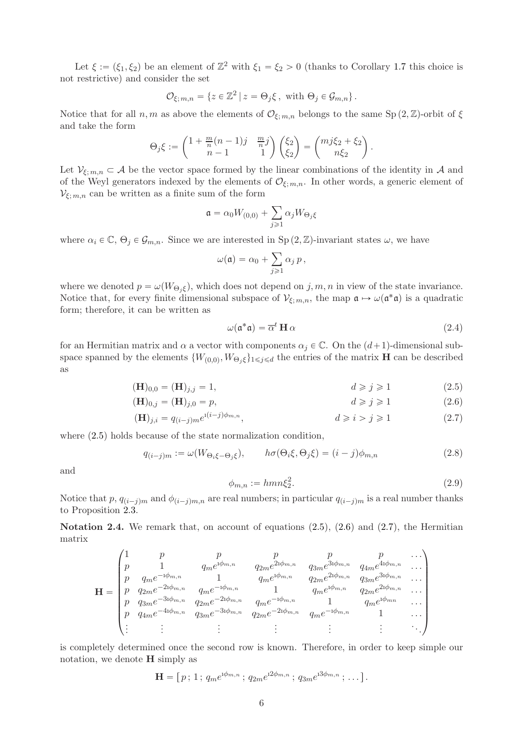Let  $\xi := (\xi_1, \xi_2)$  be an element of  $\mathbb{Z}^2$  with  $\xi_1 = \xi_2 > 0$  (thanks to Corollary [1.7](#page-3-1) this choice is not restrictive) and consider the set

$$
\mathcal{O}_{\xi;\,m,n}=\{z\in\mathbb{Z}^2\,|\,z=\Theta_j\xi\,,\,\,\text{with}\,\,\Theta_j\in\mathcal{G}_{m,n}\}\,.
$$

Notice that for all n, m as above the elements of  $\mathcal{O}_{\xi,m,n}$  belongs to the same Sp  $(2,\mathbb{Z})$ -orbit of  $\xi$ and take the form

$$
\Theta_j \xi := \begin{pmatrix} 1 + \frac{m}{n}(n-1)j & \frac{m}{n}j \\ n-1 & 1 \end{pmatrix} \begin{pmatrix} \xi_2 \\ \xi_2 \end{pmatrix} = \begin{pmatrix} mj\xi_2 + \xi_2 \\ n\xi_2 \end{pmatrix}.
$$

Let  $\mathcal{V}_{\xi; m,n} \subset \mathcal{A}$  be the vector space formed by the linear combinations of the identity in  $\mathcal{A}$  and of the Weyl generators indexed by the elements of  $\mathcal{O}_{\xi; m,n}$ . In other words, a generic element of  $\mathcal{V}_{\xi; m,n}$  can be written as a finite sum of the form

$$
\mathfrak{a} = \alpha_0 W_{(0,0)} + \sum_{j \geqslant 1} \alpha_j W_{\Theta_j \xi}
$$

where  $\alpha_i \in \mathbb{C}, \Theta_i \in \mathcal{G}_{m,n}$ . Since we are interested in Sp  $(2,\mathbb{Z})$ -invariant states  $\omega$ , we have

$$
\omega(\mathfrak{a})=\alpha_0+\sum_{j\geqslant 1}\alpha_j\,p\,,
$$

where we denoted  $p = \omega(W_{\Theta_i \xi})$ , which does not depend on j, m, n in view of the state invariance. Notice that, for every finite dimensional subspace of  $\mathcal{V}_{\xi; m,n}$ , the map  $\mathfrak{a} \mapsto \omega(\mathfrak{a}^*\mathfrak{a})$  is a quadratic form; therefore, it can be written as

<span id="page-5-5"></span><span id="page-5-2"></span><span id="page-5-1"></span>
$$
\omega(\mathfrak{a}^*\mathfrak{a}) = \overline{\alpha}^t \mathbf{H} \alpha \tag{2.4}
$$

for an Hermitian matrix and  $\alpha$  a vector with components  $\alpha_j \in \mathbb{C}$ . On the  $(d+1)$ -dimensional subspace spanned by the elements  $\{W_{(0,0)}, W_{\Theta_j \xi}\}_{1 \leq j \leq d}$  the entries of the matrix **H** can be described as

$$
(\mathbf{H})_{0,0} = (\mathbf{H})_{j,j} = 1, \qquad d \ge j \ge 1 \tag{2.5}
$$

$$
(\mathbf{H})_{0,j} = (\mathbf{H})_{j,0} = p,\t\t d \ge j \ge 1 \t\t(2.6)
$$

$$
(\mathbf{H})_{j,i} = q_{(i-j)m} e^{i(i-j)\phi_{m,n}}, \qquad d \geqslant i > j \geqslant 1 \tag{2.7}
$$

where  $(2.5)$  holds because of the state normalization condition,

<span id="page-5-4"></span>
$$
q_{(i-j)m} := \omega(W_{\Theta_i\xi - \Theta_j\xi}), \qquad h\sigma(\Theta_i\xi, \Theta_j\xi) = (i-j)\phi_{m,n}
$$
\n(2.8)

and

<span id="page-5-6"></span><span id="page-5-3"></span>
$$
\phi_{m,n} := hmn\xi_2^2. \tag{2.9}
$$

Notice that p,  $q_{i-j|m}$  and  $\phi_{i-j|m,n}$  are real numbers; in particular  $q_{i-j|m}$  is a real number thanks to Proposition [2.3.](#page-4-3)

<span id="page-5-0"></span>Notation 2.4. We remark that, on account of equations  $(2.5)$ ,  $(2.6)$  and  $(2.7)$ , the Hermitian matrix

$$
\mathbf{H} = \begin{pmatrix}\n1 & p & p & p & p & p & \dots \\
p & 1 & q_m e^{1\phi_{m,n}} & q_{2m} e^{21\phi_{m,n}} & q_{3m} e^{31\phi_{m,n}} & q_{4m} e^{41\phi_{m,n}} & \dots \\
p & q_m e^{-1\phi_{m,n}} & 1 & q_m e^{1\phi_{m,n}} & q_{2m} e^{21\phi_{m,n}} & q_{3m} e^{31\phi_{m,n}} & \dots \\
p & q_{2m} e^{-21\phi_{m,n}} & q_m e^{-1\phi_{m,n}} & 1 & q_m e^{1\phi_{m,n}} & q_{2m} e^{21\phi_{m,n}} & \dots \\
p & q_{3m} e^{-31\phi_{m,n}} & q_{2m} e^{-21\phi_{m,n}} & q_m e^{-1\phi_{m,n}} & 1 & q_m e^{1\phi_{mn}} & \dots \\
p & q_{4m} e^{-41\phi_{m,n}} & q_{3m} e^{-31\phi_{m,n}} & q_{2m} e^{-21\phi_{m,n}} & q_m e^{-1\phi_{m,n}} & 1 & \dots \\
\vdots & \vdots & \vdots & \vdots & \vdots & \vdots & \ddots\n\end{pmatrix}
$$

is completely determined once the second row is known. Therefore, in order to keep simple our notation, we denote H simply as

$$
\mathbf{H} = [p; 1; q_m e^{i \phi_{m,n}}; q_{2m} e^{i 2 \phi_{m,n}}; q_{3m} e^{i 3 \phi_{m,n}}; \dots].
$$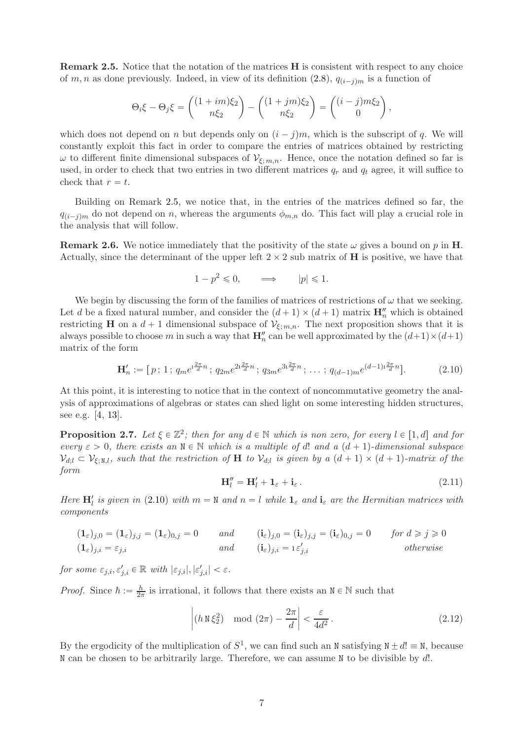<span id="page-6-2"></span>Remark 2.5. Notice that the notation of the matrices H is consistent with respect to any choice of m, n as done previously. Indeed, in view of its definition [\(2.8\)](#page-5-4),  $q_{(i-j)m}$  is a function of

$$
\Theta_i \xi - \Theta_j \xi = \begin{pmatrix} (1+im)\xi_2 \\ n\xi_2 \end{pmatrix} - \begin{pmatrix} (1+jm)\xi_2 \\ n\xi_2 \end{pmatrix} = \begin{pmatrix} (i-j)m\xi_2 \\ 0 \end{pmatrix},
$$

which does not depend on n but depends only on  $(i - j)m$ , which is the subscript of q. We will constantly exploit this fact in order to compare the entries of matrices obtained by restricting  $\omega$  to different finite dimensional subspaces of  $V_{\xi; m,n}$ . Hence, once the notation defined so far is used, in order to check that two entries in two different matrices  $q_r$  and  $q_t$  agree, it will suffice to check that  $r = t$ .

Building on Remark [2.5,](#page-6-2) we notice that, in the entries of the matrices defined so far, the  $q_{(i-j)m}$  do not depend on n, whereas the arguments  $\phi_{m,n}$  do. This fact will play a crucial role in the analysis that will follow.

<span id="page-6-1"></span>**Remark 2.6.** We notice immediately that the positivity of the state  $\omega$  gives a bound on p in **H**. Actually, since the determinant of the upper left  $2 \times 2$  sub matrix of **H** is positive, we have that

$$
1 - p^2 \leq 0, \qquad \Longrightarrow \qquad |p| \leq 1.
$$

We begin by discussing the form of the families of matrices of restrictions of  $\omega$  that we seeking. Let d be a fixed natural number, and consider the  $(d+1) \times (d+1)$  matrix  $\mathbf{H}''_n$  which is obtained restricting H on a  $d + 1$  dimensional subspace of  $\mathcal{V}_{\xi; m,n}$ . The next proposition shows that it is always possible to choose m in such a way that  $\mathbf{H}''_n$  can be well approximated by the  $(d+1)\times(d+1)$ matrix of the form

<span id="page-6-3"></span>
$$
\mathbf{H}'_n := [p; 1; q_m e^{i\frac{2\pi}{d}n}; q_{2m} e^{2i\frac{2\pi}{d}n}; q_{3m} e^{3i\frac{2\pi}{d}n}; \dots; q_{(d-1)m} e^{(d-1)i\frac{2\pi}{d}n}].
$$
 (2.10)

At this point, it is interesting to notice that in the context of noncommutative geometry the analysis of approximations of algebras or states can shed light on some interesting hidden structures, see e.g. [\[4,](#page-9-6) [13\]](#page-10-14).

<span id="page-6-0"></span>**Proposition 2.7.** Let  $\xi \in \mathbb{Z}^2$ ; then for any  $d \in \mathbb{N}$  which is non zero, for every  $l \in [1, d]$  and for every  $\varepsilon > 0$ , there exists an  $N \in \mathbb{N}$  which is a multiple of d! and a  $(d + 1)$ -dimensional subspace  $\mathcal{V}_{d;l} \subset \mathcal{V}_{\xi;N,l}$ , such that the restriction of H to  $\mathcal{V}_{d;l}$  is given by a  $(d+1) \times (d+1)$ -matrix of the form

$$
\mathbf{H}_{l}^{\prime\prime} = \mathbf{H}_{l}^{\prime} + \mathbf{1}_{\varepsilon} + \mathbf{i}_{\varepsilon} \,. \tag{2.11}
$$

Here  $H'_l$  is given in [\(2.10\)](#page-6-3) with  $m = N$  and  $n = l$  while  $\mathbf{1}_{\varepsilon}$  and  $\mathbf{i}_{\varepsilon}$  are the Hermitian matrices with components

$$
(\mathbf{1}_{\varepsilon})_{j,0} = (\mathbf{1}_{\varepsilon})_{j,j} = (\mathbf{1}_{\varepsilon})_{0,j} = 0 \quad and \quad (\mathbf{i}_{\varepsilon})_{j,0} = (\mathbf{i}_{\varepsilon})_{j,j} = (\mathbf{i}_{\varepsilon})_{0,j} = 0 \quad for \ d \geqslant j \geqslant 0
$$
  
\n
$$
(\mathbf{1}_{\varepsilon})_{j,i} = \varepsilon_{j,i} \quad and \quad (\mathbf{i}_{\varepsilon})_{j,i} = \varepsilon'_{j,i} \quad otherwise
$$

for some  $\varepsilon_{j,i}, \varepsilon'_{j,i} \in \mathbb{R}$  with  $|\varepsilon_{j,i}|, |\varepsilon'_{j,i}| < \varepsilon$ .

*Proof.* Since  $\hbar := \frac{h}{2\pi}$  is irrational, it follows that there exists an  $N \in \mathbb{N}$  such that

$$
\left| (h \lg \xi_2^2) \mod (2\pi) - \frac{2\pi}{d} \right| < \frac{\varepsilon}{4d^2} \,. \tag{2.12}
$$

By the ergodicity of the multiplication of  $S^1$ , we can find such an N satisfying  $N \pm d! \equiv N$ , because  $N$  can be chosen to be arbitrarily large. Therefore, we can assume  $N$  to be divisible by  $d!$ .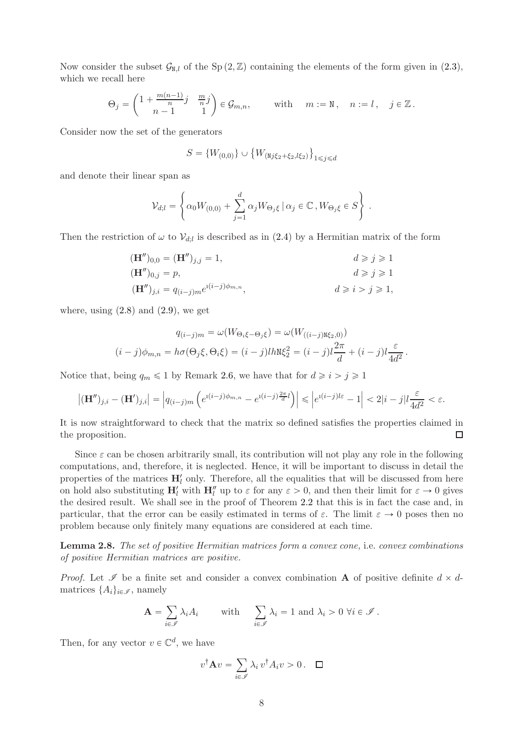Now consider the subset  $\mathcal{G}_{N,l}$  of the Sp  $(2,\mathbb{Z})$  containing the elements of the form given in  $(2.3)$ , which we recall here

$$
\Theta_j = \begin{pmatrix} 1 + \frac{m(n-1)}{n}j & \frac{m}{n}j \\ n-1 & 1 \end{pmatrix} \in \mathcal{G}_{m,n}, \quad \text{with} \quad m := \mathbb{N}, \quad n := l, \quad j \in \mathbb{Z}.
$$

Consider now the set of the generators

$$
S = \{W_{(0,0)}\} \cup \{W_{(\texttt{N}j\xi_2 + \xi_2, l\xi_2)}\}_{1 \leq j \leq d}
$$

and denote their linear span as

$$
\mathcal{V}_{d;l} = \left\{ \alpha_0 W_{(0,0)} + \sum_{j=1}^d \alpha_j W_{\Theta_j \xi} \, \middle| \, \alpha_j \in \mathbb{C} \,, W_{\Theta_j \xi} \in S \right\} \,.
$$

Then the restriction of  $\omega$  to  $\mathcal{V}_{d;l}$  is described as in [\(2.4\)](#page-5-5) by a Hermitian matrix of the form

$$
(\mathbf{H}'')_{0,0} = (\mathbf{H}'')_{j,j} = 1,
$$
  
\n
$$
(\mathbf{H}'')_{0,j} = p,
$$
  
\n
$$
d \ge j \ge 1
$$
  
\n
$$
d \ge j \ge 1
$$
  
\n
$$
d \ge j \ge 1
$$
  
\n
$$
d \ge j \ge 1
$$
  
\n
$$
d \ge j \ge 1
$$
  
\n
$$
d \ge j \ge 1
$$

where, using  $(2.8)$  and  $(2.9)$ , we get

$$
q_{(i-j)m} = \omega(W_{\Theta_i\xi - \Theta_j\xi}) = \omega(W_{((i-j)\texttt{N}\xi_2,0)})
$$

$$
(i-j)\phi_{m,n} = h\sigma(\Theta_j\xi, \Theta_i\xi) = (i-j)lh\mathbb{N}\xi_2^2 = (i-j)l\frac{2\pi}{d} + (i-j)l\frac{\varepsilon}{4d^2}.
$$

Notice that, being  $q_m \leq 1$  by Remark [2.6,](#page-6-1) we have that for  $d \geq i > j \geq 1$ 

$$
\left| (\mathbf{H}'')_{j,i} - (\mathbf{H}')_{j,i} \right| = \left| q_{(i-j)m} \left( e^{i(i-j)\phi_{m,n}} - e^{i(i-j)\frac{2\pi}{d}l} \right) \right| \leqslant \left| e^{i(i-j)l\varepsilon} - 1 \right| < 2|i-j|l\frac{\varepsilon}{4d^2} < \varepsilon.
$$

It is now straightforward to check that the matrix so defined satisfies the properties claimed in the proposition.  $\Box$ 

Since  $\varepsilon$  can be chosen arbitrarily small, its contribution will not play any role in the following computations, and, therefore, it is neglected. Hence, it will be important to discuss in detail the properties of the matrices  $H'_{l}$  only. Therefore, all the equalities that will be discussed from here on hold also substituting  $H'_l$  with  $H''_l$  up to  $\varepsilon$  for any  $\varepsilon > 0$ , and then their limit for  $\varepsilon \to 0$  gives the desired result. We shall see in the proof of Theorem [2.2](#page-4-1) that this is in fact the case and, in particular, that the error can be easily estimated in terms of  $\varepsilon$ . The limit  $\varepsilon \to 0$  poses then no problem because only finitely many equations are considered at each time.

<span id="page-7-0"></span>Lemma 2.8. The set of positive Hermitian matrices form a convex cone, i.e. convex combinations of positive Hermitian matrices are positive.

*Proof.* Let  $\mathscr I$  be a finite set and consider a convex combination **A** of positive definite  $d \times d$ matrices  $\{A_i\}_{i\in\mathscr{I}}$ , namely

$$
\mathbf{A} = \sum_{i \in \mathcal{I}} \lambda_i A_i \quad \text{with} \quad \sum_{i \in \mathcal{I}} \lambda_i = 1 \text{ and } \lambda_i > 0 \ \forall i \in \mathcal{I}.
$$

Then, for any vector  $v \in \mathbb{C}^d$ , we have

$$
v^{\dagger} \mathbf{A} v = \sum_{i \in \mathscr{I}} \lambda_i v^{\dagger} A_i v > 0. \quad \Box
$$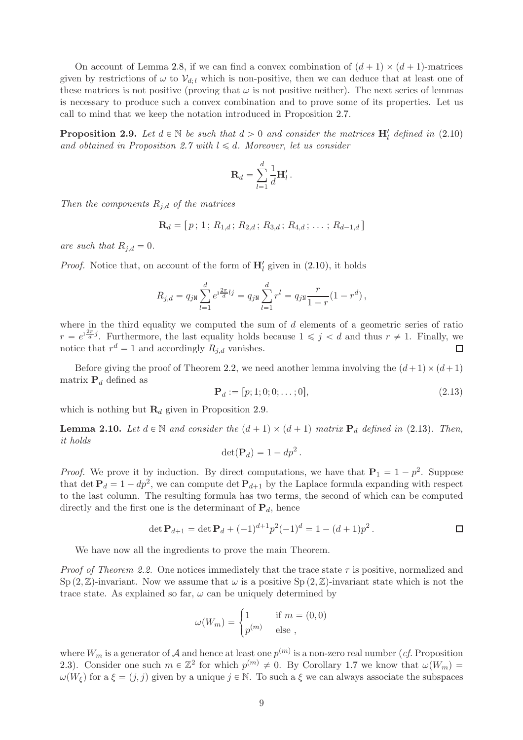On account of Lemma [2.8,](#page-7-0) if we can find a convex combination of  $(d + 1) \times (d + 1)$ -matrices given by restrictions of  $\omega$  to  $\mathcal{V}_{d,l}$  which is non-positive, then we can deduce that at least one of these matrices is not positive (proving that  $\omega$  is not positive neither). The next series of lemmas is necessary to produce such a convex combination and to prove some of its properties. Let us call to mind that we keep the notation introduced in Proposition [2.7.](#page-6-0)

<span id="page-8-0"></span>**Proposition 2.9.** Let  $d \in \mathbb{N}$  be such that  $d > 0$  and consider the matrices  $H'_l$  defined in [\(2.10\)](#page-6-3) and obtained in Proposition [2.7](#page-6-0) with  $l \leq d$ . Moreover, let us consider

$$
\mathbf{R}_d = \sum_{l=1}^d \frac{1}{d} \mathbf{H}'_l.
$$

Then the components  $R_{j,d}$  of the matrices

$$
\mathbf{R}_d = [p; 1; R_{1,d}; R_{2,d}; R_{3,d}; R_{4,d}; \dots; R_{d-1,d}]
$$

are such that  $R_{i,d} = 0$ .

*Proof.* Notice that, on account of the form of  $H'_{l}$  given in [\(2.10\)](#page-6-3), it holds

$$
R_{j,d} = q_{jN} \sum_{l=1}^d e^{i\frac{2\pi}{d}lj} = q_{jN} \sum_{l=1}^d r^l = q_{jN} \frac{r}{1-r} (1-r^d),
$$

where in the third equality we computed the sum of  $d$  elements of a geometric series of ratio  $r = e^{i\frac{2\pi}{d}j}$ . Furthermore, the last equality holds because  $1 \leq j \leq d$  and thus  $r \neq 1$ . Finally, we notice that  $r^d = 1$  and accordingly  $R_{j,d}$  vanishes. П

Before giving the proof of Theorem [2.2,](#page-4-1) we need another lemma involving the  $(d+1) \times (d+1)$ matrix  $P_d$  defined as

<span id="page-8-1"></span>
$$
\mathbf{P}_d := [p; 1; 0; 0; \dots; 0],\tag{2.13}
$$

which is nothing but  $\mathbf{R}_d$  given in Proposition [2.9.](#page-8-0)

<span id="page-8-2"></span>**Lemma 2.10.** Let  $d \in \mathbb{N}$  and consider the  $(d + 1) \times (d + 1)$  matrix  $\mathbf{P}_d$  defined in [\(2.13\)](#page-8-1). Then, it holds

$$
\det(\mathbf{P}_d) = 1 - dp^2.
$$

*Proof.* We prove it by induction. By direct computations, we have that  $P_1 = 1 - p^2$ . Suppose that det  $P_d = 1 - dp^2$ , we can compute det  $P_{d+1}$  by the Laplace formula expanding with respect to the last column. The resulting formula has two terms, the second of which can be computed directly and the first one is the determinant of  $P_d$ , hence

$$
\det \mathbf{P}_{d+1} = \det \mathbf{P}_d + (-1)^{d+1} p^2 (-1)^d = 1 - (d+1)p^2.
$$

We have now all the ingredients to prove the main Theorem.

*Proof of Theorem [2.2.](#page-4-1)* One notices immediately that the trace state  $\tau$  is positive, normalized and  $Sp(2,\mathbb{Z})$ -invariant. Now we assume that  $\omega$  is a positive  $Sp(2,\mathbb{Z})$ -invariant state which is not the trace state. As explained so far,  $\omega$  can be uniquely determined by

$$
\omega(W_m) = \begin{cases} 1 & \text{if } m = (0,0) \\ p^{(m)} & \text{else }, \end{cases}
$$

where  $W_m$  is a generator of  $\mathcal A$  and hence at least one  $p^{(m)}$  is a non-zero real number (*cf.* Proposition [2.3\)](#page-4-3). Consider one such  $m \in \mathbb{Z}^2$  for which  $p^{(m)} \neq 0$ . By Corollary [1.7](#page-3-1) we know that  $\omega(W_m)$  $\omega(W_{\xi})$  for a  $\xi = (j, j)$  given by a unique  $j \in \mathbb{N}$ . To such a  $\xi$  we can always associate the subspaces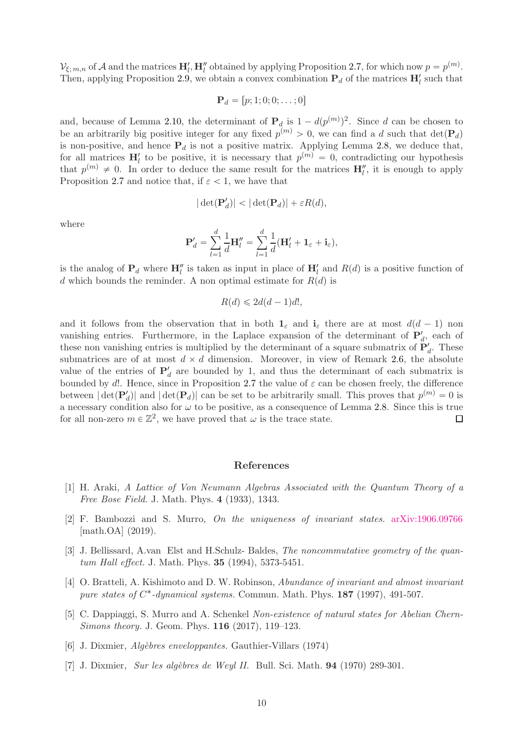$\mathcal{V}_{\xi; m,n}$  of A and the matrices  $\mathbf{H}'_l$ ,  $\mathbf{H}''_l$  obtained by applying Proposition [2.7,](#page-6-0) for which now  $p = p^{(m)}$ . Then, applying Proposition [2.9,](#page-8-0) we obtain a convex combination  $P_d$  of the matrices  $H'_l$  such that

$$
\mathbf{P}_d = [p; 1; 0; 0; \dots; 0]
$$

and, because of Lemma [2.10,](#page-8-2) the determinant of  $P_d$  is  $1 - d(p^{(m)})^2$ . Since d can be chosen to be an arbitrarily big positive integer for any fixed  $p^{(m)} > 0$ , we can find a d such that  $\det(\mathbf{P}_d)$ is non-positive, and hence  $P_d$  is not a positive matrix. Applying Lemma [2.8,](#page-7-0) we deduce that, for all matrices  $H'_l$  to be positive, it is necessary that  $p^{(m)} = 0$ , contradicting our hypothesis that  $p^{(m)} \neq 0$ . In order to deduce the same result for the matrices  $\mathbf{H}''_l$ , it is enough to apply Proposition [2.7](#page-6-0) and notice that, if  $\varepsilon < 1$ , we have that

$$
|\det(\mathbf{P}'_d)| < |\det(\mathbf{P}_d)| + \varepsilon R(d),
$$

where

$$
\mathbf{P}'_d = \sum_{l=1}^d \frac{1}{d} \mathbf{H}''_l = \sum_{l=1}^d \frac{1}{d} (\mathbf{H}'_l + \mathbf{1}_{\varepsilon} + \mathbf{i}_{\varepsilon}),
$$

is the analog of  $P_d$  where  $H''_l$  is taken as input in place of  $H'_l$  and  $R(d)$  is a positive function of d which bounds the reminder. A non optimal estimate for  $R(d)$  is

$$
R(d) \leq 2d(d-1)d!,
$$

and it follows from the observation that in both  $\mathbf{1}_{\varepsilon}$  and  $\mathbf{i}_{\varepsilon}$  there are at most  $d(d-1)$  non vanishing entries. Furthermore, in the Laplace expansion of the determinant of  $P'_d$ , each of these non vanishing entries is multiplied by the determinant of a square submatrix of  $\mathbf{P}'_d$ . These submatrices are of at most  $d \times d$  dimension. Moreover, in view of Remark [2.6,](#page-6-1) the absolute value of the entries of  $P'_d$  are bounded by 1, and thus the determinant of each submatrix is bounded by d!. Hence, since in Proposition [2.7](#page-6-0) the value of  $\varepsilon$  can be chosen freely, the difference between  $|\det(\mathbf{P}'_d)|$  and  $|\det(\mathbf{P}_d)|$  can be set to be arbitrarily small. This proves that  $p^{(m)} = 0$  is a necessary condition also for  $\omega$  to be positive, as a consequence of Lemma [2.8.](#page-7-0) Since this is true for all non-zero  $m \in \mathbb{Z}^2$ , we have proved that  $\omega$  is the trace state. П

### References

- <span id="page-9-2"></span>[1] H. Araki, A Lattice of Von Neumann Algebras Associated with the Quantum Theory of a Free Bose Field. J. Math. Phys. 4 (1933), 1343.
- <span id="page-9-3"></span>[2] F. Bambozzi and S. Murro, On the uniqueness of invariant states. [arXiv:1906.09766](http://arxiv.org/abs/1906.09766) [math.OA] (2019).
- <span id="page-9-0"></span>[3] J. Bellissard, A.van Elst and H.Schulz- Baldes, The noncommutative geometry of the quantum Hall effect. J. Math. Phys. **35** (1994), 5373-5451.
- <span id="page-9-6"></span>[4] O. Bratteli, A. Kishimoto and D. W. Robinson, Abundance of invariant and almost invariant pure states of  $C^*$ -dynamical systems. Commun. Math. Phys. 187 (1997), 491-507.
- <span id="page-9-1"></span>[5] C. Dappiaggi, S. Murro and A. Schenkel Non-existence of natural states for Abelian Chern-Simons theory. J. Geom. Phys. 116 (2017), 119–123.
- <span id="page-9-5"></span><span id="page-9-4"></span>[6] J. Dixmier, *Algèbres enveloppantes*. Gauthier-Villars (1974)
- [7] J. Dixmier, Sur les algèbres de Weyl II. Bull. Sci. Math.  $94$  (1970) 289-301.